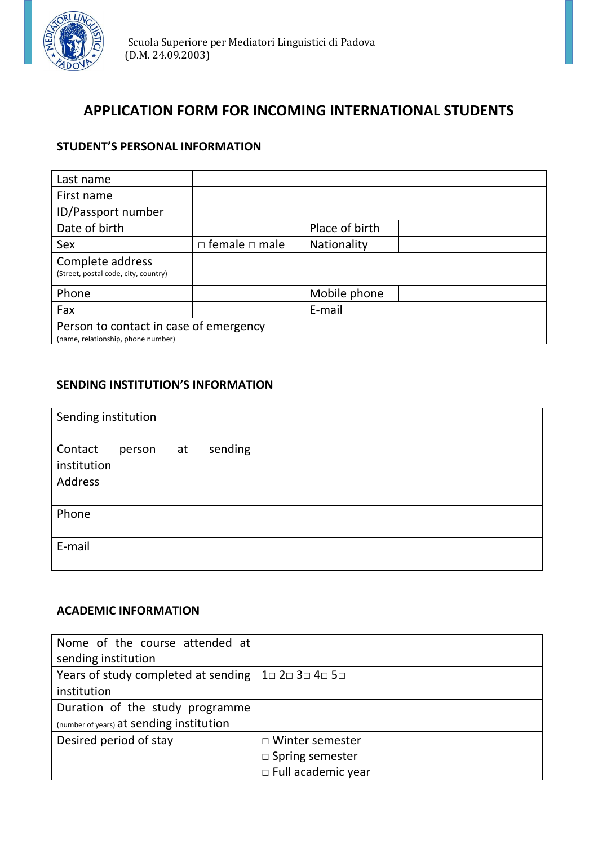

# **APPLICATION FORM FOR INCOMING INTERNATIONAL STUDENTS**

### **STUDENT'S PERSONAL INFORMATION**

| Last name                                                                    |                           |                |  |
|------------------------------------------------------------------------------|---------------------------|----------------|--|
| First name                                                                   |                           |                |  |
| ID/Passport number                                                           |                           |                |  |
| Date of birth                                                                |                           | Place of birth |  |
| Sex                                                                          | $\Box$ female $\Box$ male | Nationality    |  |
| Complete address<br>(Street, postal code, city, country)                     |                           |                |  |
| Phone                                                                        |                           | Mobile phone   |  |
| Fax                                                                          |                           | E-mail         |  |
| Person to contact in case of emergency<br>(name, relationship, phone number) |                           |                |  |

#### **SENDING INSTITUTION'S INFORMATION**

| Sending institution    |        |    |         |  |
|------------------------|--------|----|---------|--|
| Contact<br>institution | person | at | sending |  |
| Address                |        |    |         |  |
| Phone                  |        |    |         |  |
| E-mail                 |        |    |         |  |

## **ACADEMIC INFORMATION**

| Nome of the course attended at                                                                |                           |
|-----------------------------------------------------------------------------------------------|---------------------------|
| sending institution                                                                           |                           |
| Years of study completed at sending $\vert$ 1 $\vert$ 2 $\vert$ 3 $\vert$ 4 $\vert$ 5 $\vert$ |                           |
| institution                                                                                   |                           |
| Duration of the study programme                                                               |                           |
| (number of years) at sending institution                                                      |                           |
| Desired period of stay                                                                        | □ Winter semester         |
|                                                                                               | $\square$ Spring semester |
|                                                                                               | $\Box$ Full academic year |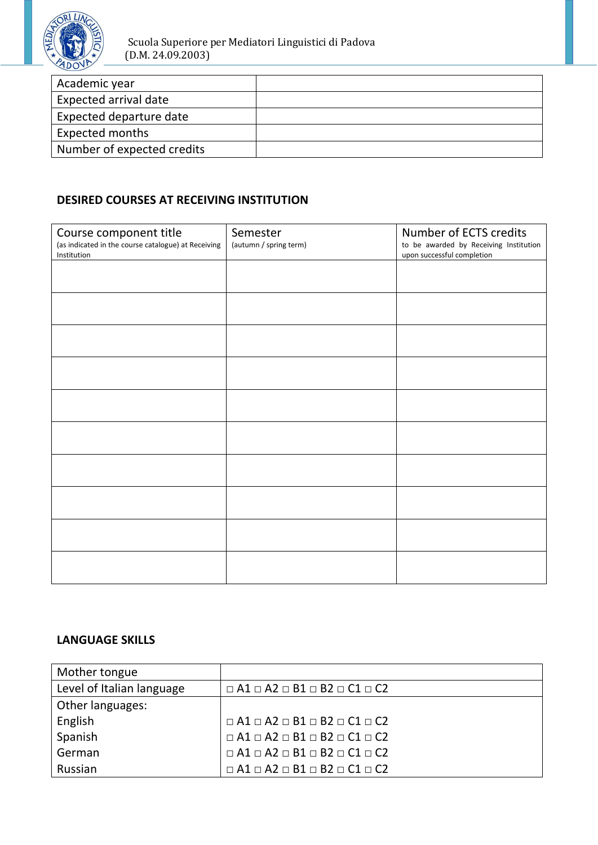

| Academic year              |  |
|----------------------------|--|
| Expected arrival date      |  |
| Expected departure date    |  |
| Expected months            |  |
| Number of expected credits |  |

# **DESIRED COURSES AT RECEIVING INSTITUTION**

| Course component title                                             | Semester               | Number of ECTS credits                                               |
|--------------------------------------------------------------------|------------------------|----------------------------------------------------------------------|
| (as indicated in the course catalogue) at Receiving<br>Institution | (autumn / spring term) | to be awarded by Receiving Institution<br>upon successful completion |
|                                                                    |                        |                                                                      |
|                                                                    |                        |                                                                      |
|                                                                    |                        |                                                                      |
|                                                                    |                        |                                                                      |
|                                                                    |                        |                                                                      |
|                                                                    |                        |                                                                      |
|                                                                    |                        |                                                                      |
|                                                                    |                        |                                                                      |
|                                                                    |                        |                                                                      |
|                                                                    |                        |                                                                      |
|                                                                    |                        |                                                                      |
|                                                                    |                        |                                                                      |
|                                                                    |                        |                                                                      |
|                                                                    |                        |                                                                      |
|                                                                    |                        |                                                                      |
|                                                                    |                        |                                                                      |
|                                                                    |                        |                                                                      |
|                                                                    |                        |                                                                      |

### **LANGUAGE SKILLS**

| Mother tongue             |                                                   |
|---------------------------|---------------------------------------------------|
| Level of Italian language | $\Box A1 \Box A2 \Box B1 \Box B2 \Box C1 \Box C2$ |
| Other languages:          |                                                   |
| English                   | $\Box A1 \Box A2 \Box B1 \Box B2 \Box C1 \Box C2$ |
| Spanish                   | $\Box A1 \Box A2 \Box B1 \Box B2 \Box C1 \Box C2$ |
| German                    | $\Box A1 \Box A2 \Box B1 \Box B2 \Box C1 \Box C2$ |
| Russian                   | $\Box A1 \Box A2 \Box B1 \Box B2 \Box C1 \Box C2$ |